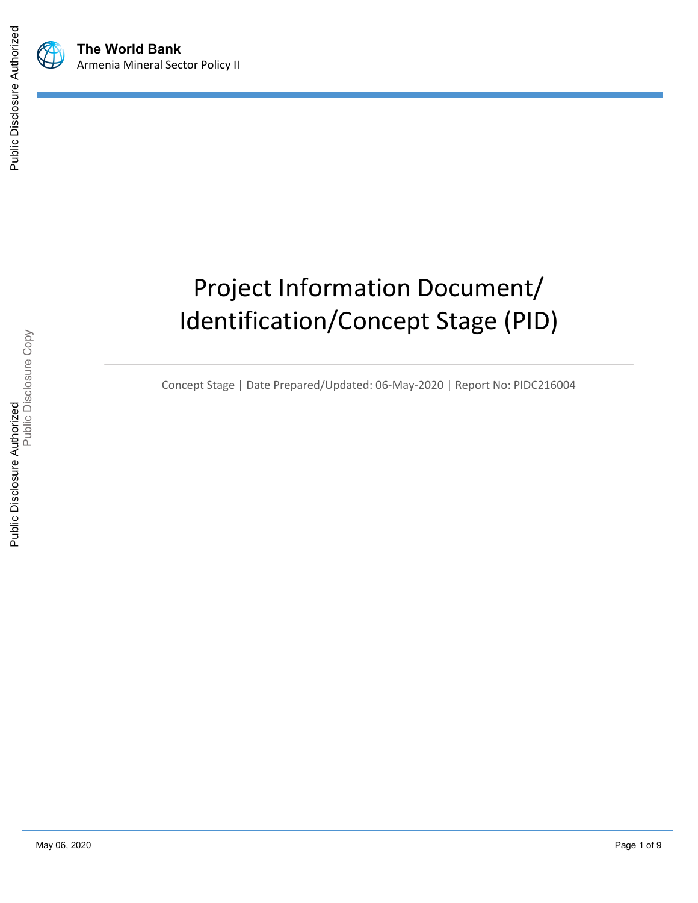



# Project Information Document/ Identification/Concept Stage (PID)

Concept Stage | Date Prepared/Updated: 06-May-2020 | Report No: PIDC216004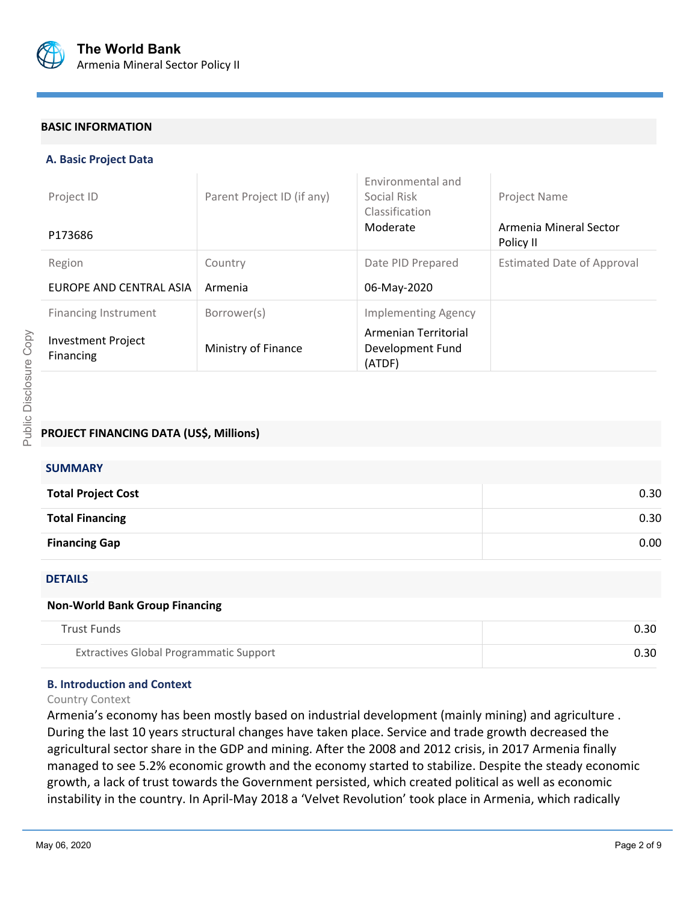

#### **BASIC INFORMATION**

#### **A. Basic Project Data**

| Project ID<br>P173686                         | Parent Project ID (if any) | Environmental and<br>Social Risk<br>Classification<br>Moderate | Project Name<br>Armenia Mineral Sector<br>Policy II |
|-----------------------------------------------|----------------------------|----------------------------------------------------------------|-----------------------------------------------------|
| Region                                        | Country                    | Date PID Prepared                                              | <b>Estimated Date of Approval</b>                   |
| EUROPE AND CENTRAL ASIA                       | Armenia                    | 06-May-2020                                                    |                                                     |
| <b>Financing Instrument</b>                   | Borrower(s)                | <b>Implementing Agency</b>                                     |                                                     |
| <b>Investment Project</b><br><b>Financing</b> | Ministry of Finance        | Armenian Territorial<br>Development Fund<br>(ATDF)             |                                                     |

# **PROJECT FINANCING DATA (US\$, Millions)**

| <b>SUMMARY</b>            |      |
|---------------------------|------|
| <b>Total Project Cost</b> | 0.30 |
| <b>Total Financing</b>    | 0.30 |
| <b>Financing Gap</b>      | 0.00 |

#### DETAILS

#### **Non-World Bank Group Financing**

| Trust Funds                             | 0.30 |
|-----------------------------------------|------|
| Extractives Global Programmatic Support | 0.30 |

## **B. Introduction and Context**

#### Country Context

Armenia's economy has been mostly based on industrial development (mainly mining) and agriculture . During the last 10 years structural changes have taken place. Service and trade growth decreased the agricultural sector share in the GDP and mining. After the 2008 and 2012 crisis, in 2017 Armenia finally managed to see 5.2% economic growth and the economy started to stabilize. Despite the steady economic growth, a lack of trust towards the Government persisted, which created political as well as economic instability in the country. In April-May 2018 a 'Velvet Revolution' took place in Armenia, which radically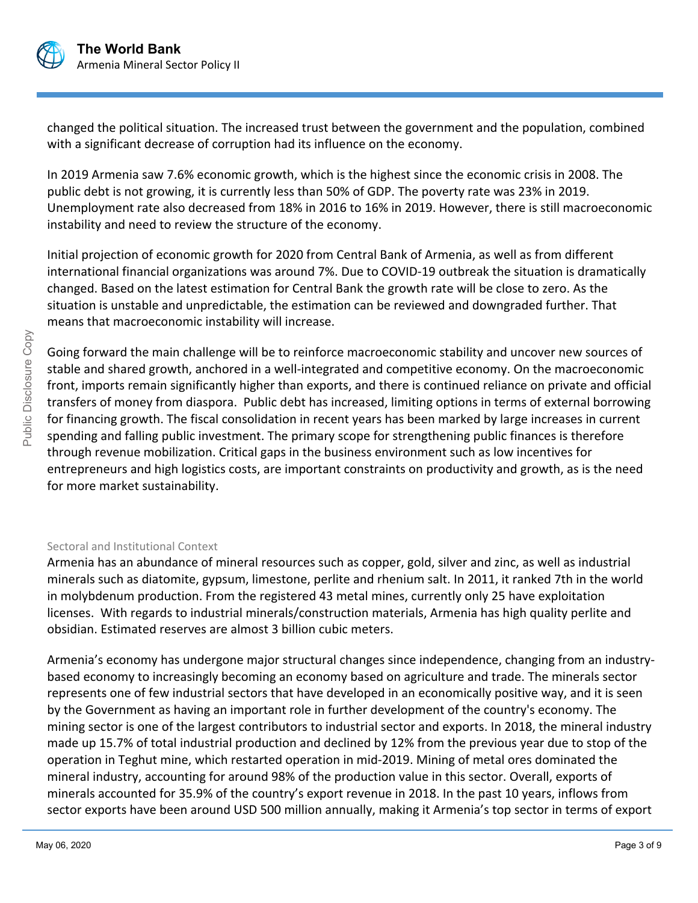

changed the political situation. The increased trust between the government and the population, combined with a significant decrease of corruption had its influence on the economy.

In 2019 Armenia saw 7.6% economic growth, which is the highest since the economic crisis in 2008. The public debt is not growing, it is currently less than 50% of GDP. The poverty rate was 23% in 2019. Unemployment rate also decreased from 18% in 2016 to 16% in 2019. However, there is still macroeconomic instability and need to review the structure of the economy.

Initial projection of economic growth for 2020 from Central Bank of Armenia, as well as from different international financial organizations was around 7%. Due to COVID-19 outbreak the situation is dramatically changed. Based on the latest estimation for Central Bank the growth rate will be close to zero. As the situation is unstable and unpredictable, the estimation can be reviewed and downgraded further. That means that macroeconomic instability will increase.

Going forward the main challenge will be to reinforce macroeconomic stability and uncover new sources of stable and shared growth, anchored in a well-integrated and competitive economy. On the macroeconomic front, imports remain significantly higher than exports, and there is continued reliance on private and official transfers of money from diaspora. Public debt has increased, limiting options in terms of external borrowing for financing growth. The fiscal consolidation in recent years has been marked by large increases in current spending and falling public investment. The primary scope for strengthening public finances is therefore through revenue mobilization. Critical gaps in the business environment such as low incentives for entrepreneurs and high logistics costs, are important constraints on productivity and growth, as is the need for more market sustainability.

# Sectoral and Institutional Context

Armenia has an abundance of mineral resources such as copper, gold, silver and zinc, as well as industrial minerals such as diatomite, gypsum, limestone, perlite and rhenium salt. In 2011, it ranked 7th in the world in molybdenum production. From the registered 43 metal mines, currently only 25 have exploitation licenses. With regards to industrial minerals/construction materials, Armenia has high quality perlite and obsidian. Estimated reserves are almost 3 billion cubic meters.

Armenia's economy has undergone major structural changes since independence, changing from an industrybased economy to increasingly becoming an economy based on agriculture and trade. The minerals sector represents one of few industrial sectors that have developed in an economically positive way, and it is seen by the Government as having an important role in further development of the country's economy. The mining sector is one of the largest contributors to industrial sector and exports. In 2018, the mineral industry made up 15.7% of total industrial production and declined by 12% from the previous year due to stop of the operation in Teghut mine, which restarted operation in mid-2019. Mining of metal ores dominated the mineral industry, accounting for around 98% of the production value in this sector. Overall, exports of minerals accounted for 35.9% of the country's export revenue in 2018. In the past 10 years, inflows from sector exports have been around USD 500 million annually, making it Armenia's top sector in terms of export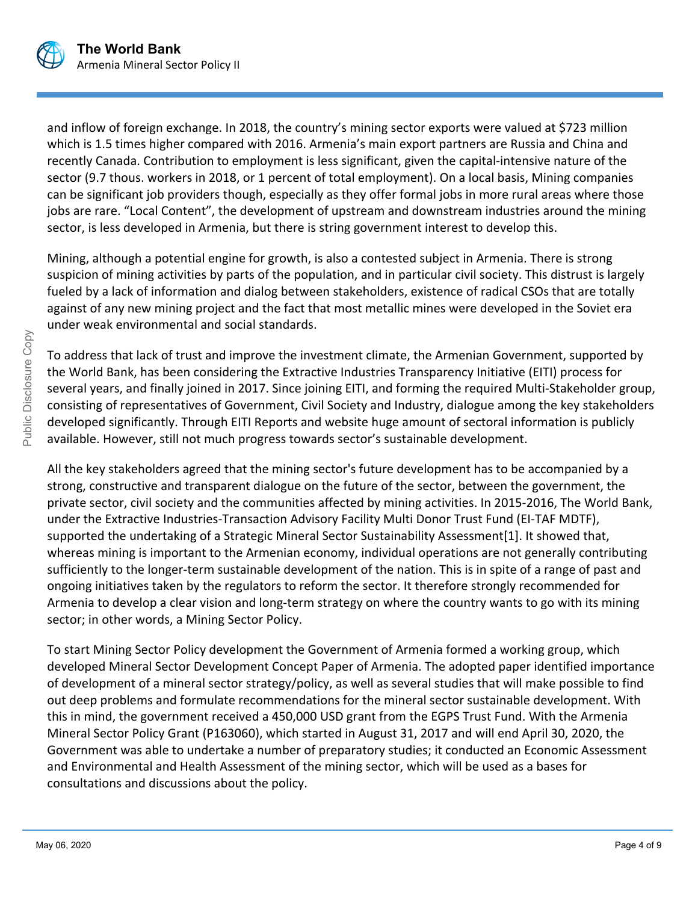

and inflow of foreign exchange. In 2018, the country's mining sector exports were valued at \$723 million which is 1.5 times higher compared with 2016. Armenia's main export partners are Russia and China and recently Canada. Contribution to employment is less significant, given the capital-intensive nature of the sector (9.7 thous. workers in 2018, or 1 percent of total employment). On a local basis, Mining companies can be significant job providers though, especially as they offer formal jobs in more rural areas where those jobs are rare. "Local Content", the development of upstream and downstream industries around the mining sector, is less developed in Armenia, but there is string government interest to develop this.

Mining, although a potential engine for growth, is also a contested subject in Armenia. There is strong suspicion of mining activities by parts of the population, and in particular civil society. This distrust is largely fueled by a lack of information and dialog between stakeholders, existence of radical CSOs that are totally against of any new mining project and the fact that most metallic mines were developed in the Soviet era under weak environmental and social standards.

To address that lack of trust and improve the investment climate, the Armenian Government, supported by the World Bank, has been considering the Extractive Industries Transparency Initiative (EITI) process for several years, and finally joined in 2017. Since joining EITI, and forming the required Multi-Stakeholder group, consisting of representatives of Government, Civil Society and Industry, dialogue among the key stakeholders developed significantly. Through EITI Reports and website huge amount of sectoral information is publicly available. However, still not much progress towards sector's sustainable development.

All the key stakeholders agreed that the mining sector's future development has to be accompanied by a strong, constructive and transparent dialogue on the future of the sector, between the government, the private sector, civil society and the communities affected by mining activities. In 2015-2016, The World Bank, under the Extractive Industries-Transaction Advisory Facility Multi Donor Trust Fund (EI-TAF MDTF), supported the undertaking of a Strategic Mineral Sector Sustainability Assessment[1]. It showed that, whereas mining is important to the Armenian economy, individual operations are not generally contributing sufficiently to the longer-term sustainable development of the nation. This is in spite of a range of past and ongoing initiatives taken by the regulators to reform the sector. It therefore strongly recommended for Armenia to develop a clear vision and long-term strategy on where the country wants to go with its mining sector; in other words, a Mining Sector Policy.

To start Mining Sector Policy development the Government of Armenia formed a working group, which developed Mineral Sector Development Concept Paper of Armenia. The adopted paper identified importance of development of a mineral sector strategy/policy, as well as several studies that will make possible to find out deep problems and formulate recommendations for the mineral sector sustainable development. With this in mind, the government received a 450,000 USD grant from the EGPS Trust Fund. With the Armenia Mineral Sector Policy Grant (P163060), which started in August 31, 2017 and will end April 30, 2020, the Government was able to undertake a number of preparatory studies; it conducted an Economic Assessment and Environmental and Health Assessment of the mining sector, which will be used as a bases for consultations and discussions about the policy.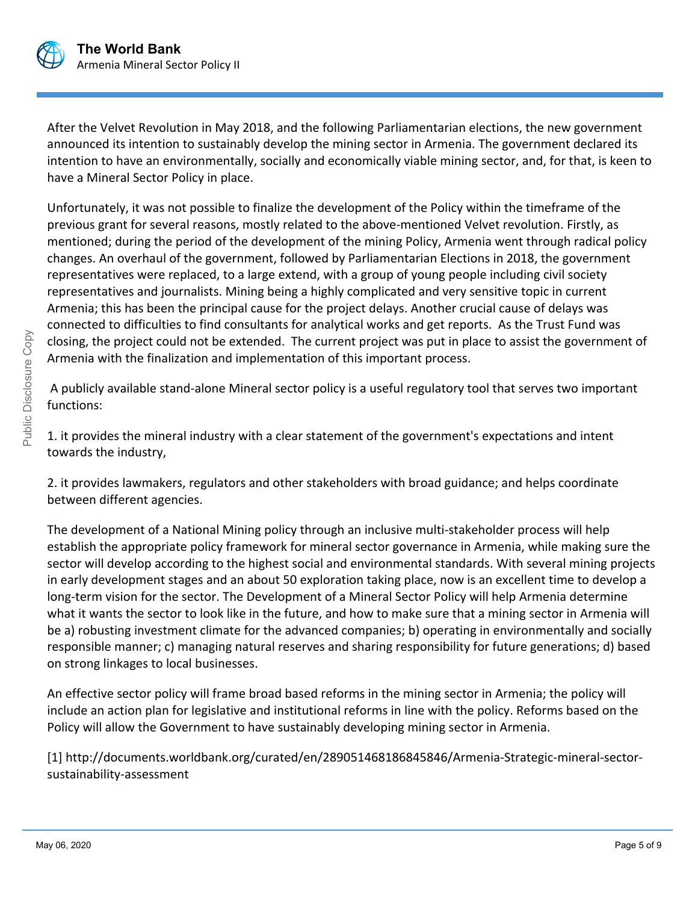

After the Velvet Revolution in May 2018, and the following Parliamentarian elections, the new government announced its intention to sustainably develop the mining sector in Armenia. The government declared its intention to have an environmentally, socially and economically viable mining sector, and, for that, is keen to have a Mineral Sector Policy in place.

Unfortunately, it was not possible to finalize the development of the Policy within the timeframe of the previous grant for several reasons, mostly related to the above-mentioned Velvet revolution. Firstly, as mentioned; during the period of the development of the mining Policy, Armenia went through radical policy changes. An overhaul of the government, followed by Parliamentarian Elections in 2018, the government representatives were replaced, to a large extend, with a group of young people including civil society representatives and journalists. Mining being a highly complicated and very sensitive topic in current Armenia; this has been the principal cause for the project delays. Another crucial cause of delays was connected to difficulties to find consultants for analytical works and get reports. As the Trust Fund was closing, the project could not be extended. The current project was put in place to assist the government of Armenia with the finalization and implementation of this important process.

 A publicly available stand-alone Mineral sector policy is a useful regulatory tool that serves two important functions:

1. it provides the mineral industry with a clear statement of the government's expectations and intent towards the industry,

2. it provides lawmakers, regulators and other stakeholders with broad guidance; and helps coordinate between different agencies.

The development of a National Mining policy through an inclusive multi-stakeholder process will help establish the appropriate policy framework for mineral sector governance in Armenia, while making sure the sector will develop according to the highest social and environmental standards. With several mining projects in early development stages and an about 50 exploration taking place, now is an excellent time to develop a long-term vision for the sector. The Development of a Mineral Sector Policy will help Armenia determine what it wants the sector to look like in the future, and how to make sure that a mining sector in Armenia will be a) robusting investment climate for the advanced companies; b) operating in environmentally and socially responsible manner; c) managing natural reserves and sharing responsibility for future generations; d) based on strong linkages to local businesses.

An effective sector policy will frame broad based reforms in the mining sector in Armenia; the policy will include an action plan for legislative and institutional reforms in line with the policy. Reforms based on the Policy will allow the Government to have sustainably developing mining sector in Armenia.

[1] http://documents.worldbank.org/curated/en/289051468186845846/Armenia-Strategic-mineral-sectorsustainability-assessment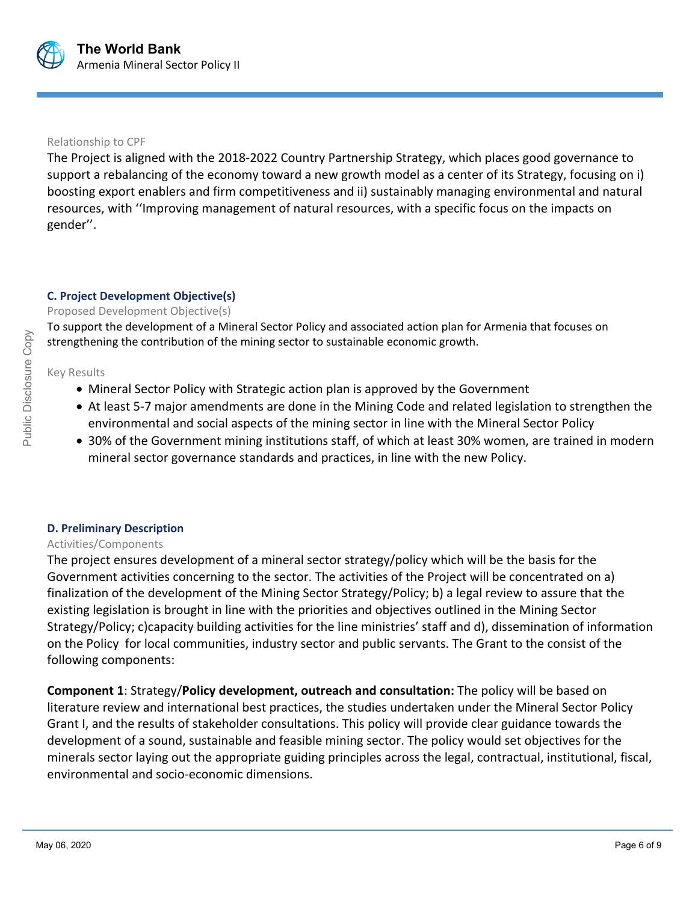

### Relationship to CPF

The Project is aligned with the 2018-2022 Country Partnership Strategy, which places good governance to support a rebalancing of the economy toward a new growth model as a center of its Strategy, focusing on i) boosting export enablers and firm competitiveness and ii) sustainably managing environmental and natural resources, with ''Improving management of natural resources, with a specific focus on the impacts on gender''.

# **C. Project Development Objective(s)**

## Proposed Development Objective(s)

To support the development of a Mineral Sector Policy and associated action plan for Armenia that focuses on strengthening the contribution of the mining sector to sustainable economic growth.

Key Results

- Mineral Sector Policy with Strategic action plan is approved by the Government
- At least 5-7 major amendments are done in the Mining Code and related legislation to strengthen the environmental and social aspects of the mining sector in line with the Mineral Sector Policy
- 30% of the Government mining institutions staff, of which at least 30% women, are trained in modern mineral sector governance standards and practices, in line with the new Policy.

# **D. Preliminary Description**

# Activities/Components

The project ensures development of a mineral sector strategy/policy which will be the basis for the Government activities concerning to the sector. The activities of the Project will be concentrated on a) finalization of the development of the Mining Sector Strategy/Policy; b) a legal review to assure that the existing legislation is brought in line with the priorities and objectives outlined in the Mining Sector Strategy/Policy; c)capacity building activities for the line ministries' staff and d), dissemination of information on the Policy for local communities, industry sector and public servants. The Grant to the consist of the following components:

**Component 1**: Strategy/**Policy development, outreach and consultation:** The policy will be based on literature review and international best practices, the studies undertaken under the Mineral Sector Policy Grant I, and the results of stakeholder consultations. This policy will provide clear guidance towards the development of a sound, sustainable and feasible mining sector. The policy would set objectives for the minerals sector laying out the appropriate guiding principles across the legal, contractual, institutional, fiscal, environmental and socio-economic dimensions.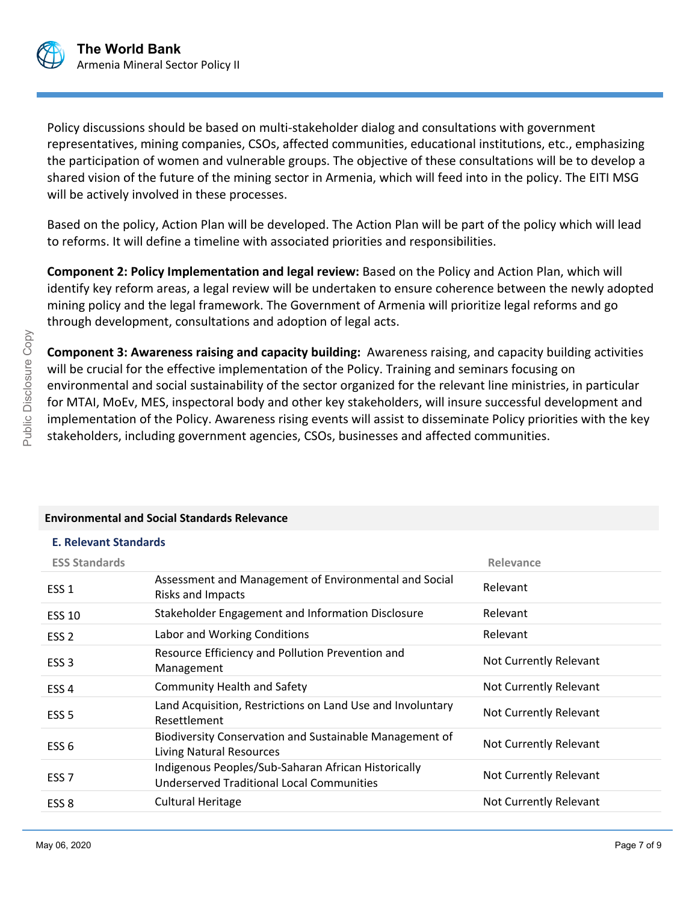

Policy discussions should be based on multi-stakeholder dialog and consultations with government representatives, mining companies, CSOs, affected communities, educational institutions, etc., emphasizing the participation of women and vulnerable groups. The objective of these consultations will be to develop a shared vision of the future of the mining sector in Armenia, which will feed into in the policy. The EITI MSG will be actively involved in these processes.

Based on the policy, Action Plan will be developed. The Action Plan will be part of the policy which will lead to reforms. It will define a timeline with associated priorities and responsibilities.

**Component 2: Policy Implementation and legal review:** Based on the Policy and Action Plan, which will identify key reform areas, a legal review will be undertaken to ensure coherence between the newly adopted mining policy and the legal framework. The Government of Armenia will prioritize legal reforms and go through development, consultations and adoption of legal acts.

**Component 3: Awareness raising and capacity building:** Awareness raising, and capacity building activities will be crucial for the effective implementation of the Policy. Training and seminars focusing on environmental and social sustainability of the sector organized for the relevant line ministries, in particular for MTAI, MoEv, MES, inspectoral body and other key stakeholders, will insure successful development and implementation of the Policy. Awareness rising events will assist to disseminate Policy priorities with the key stakeholders, including government agencies, CSOs, businesses and affected communities.

## **Environmental and Social Standards Relevance**

## **E. Relevant Standards**

| <b>ESS Standards</b> |                                                                                                  | Relevance              |
|----------------------|--------------------------------------------------------------------------------------------------|------------------------|
| ESS <sub>1</sub>     | Assessment and Management of Environmental and Social<br><b>Risks and Impacts</b>                | Relevant               |
| <b>ESS 10</b>        | Stakeholder Engagement and Information Disclosure                                                | Relevant               |
| ESS <sub>2</sub>     | Labor and Working Conditions                                                                     | Relevant               |
| ESS <sub>3</sub>     | Resource Efficiency and Pollution Prevention and<br>Management                                   | Not Currently Relevant |
| ESS <sub>4</sub>     | <b>Community Health and Safety</b>                                                               | Not Currently Relevant |
| ESS <sub>5</sub>     | Land Acquisition, Restrictions on Land Use and Involuntary<br>Resettlement                       | Not Currently Relevant |
| ESS 6                | Biodiversity Conservation and Sustainable Management of<br><b>Living Natural Resources</b>       | Not Currently Relevant |
| ESS <sub>7</sub>     | Indigenous Peoples/Sub-Saharan African Historically<br>Underserved Traditional Local Communities | Not Currently Relevant |
| ESS <sub>8</sub>     | <b>Cultural Heritage</b>                                                                         | Not Currently Relevant |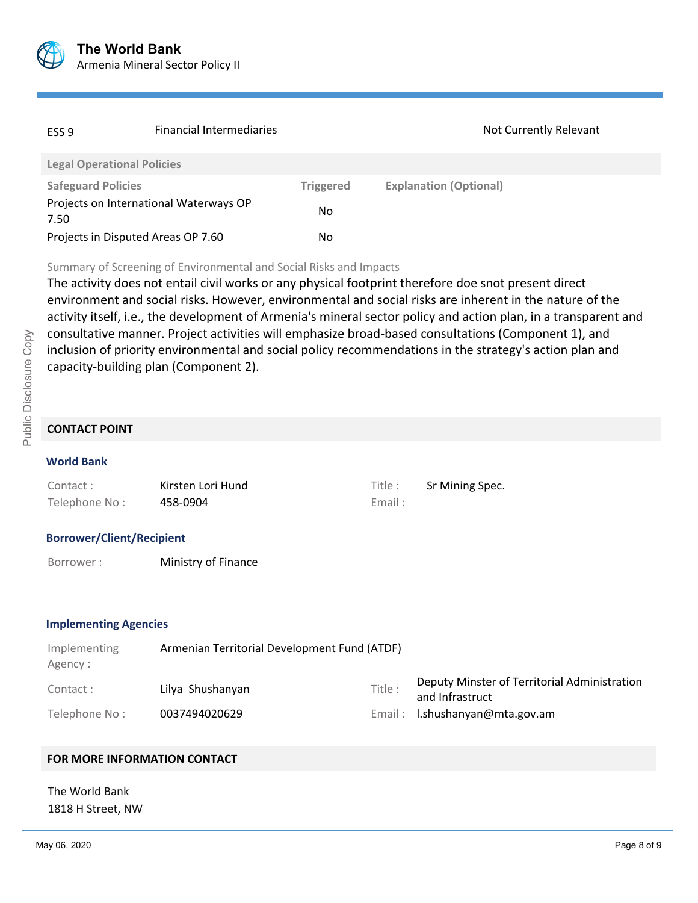

| ESS <sub>9</sub>                                                                                                                                                           | <b>Financial Intermediaries</b>        |                  | Not Currently Relevant        |  |
|----------------------------------------------------------------------------------------------------------------------------------------------------------------------------|----------------------------------------|------------------|-------------------------------|--|
|                                                                                                                                                                            |                                        |                  |                               |  |
| <b>Legal Operational Policies</b>                                                                                                                                          |                                        |                  |                               |  |
| <b>Safeguard Policies</b>                                                                                                                                                  |                                        | <b>Triggered</b> | <b>Explanation (Optional)</b> |  |
| 7.50                                                                                                                                                                       | Projects on International Waterways OP | No.              |                               |  |
| Projects in Disputed Areas OP 7.60                                                                                                                                         |                                        | No               |                               |  |
| Summary of Screening of Environmental and Social Risks and Impacts<br>The activity does not entail civil works or any physical footprint therefore doe snot present direct |                                        |                  |                               |  |

The activity does not entail civil works or any physical footprint therefore doe snot present direct environment and social risks. However, environmental and social risks are inherent in the nature of the activity itself, i.e., the development of Armenia's mineral sector policy and action plan, in a transparent and consultative manner. Project activities will emphasize broad-based consultations (Component 1), and inclusion of priority environmental and social policy recommendations in the strategy's action plan and capacity-building plan (Component 2).

# **CONTACT POINT**

## **World Bank**

| Contact:      | Kirsten Lori Hund | Title : | Sr Mining Spec. |
|---------------|-------------------|---------|-----------------|
| Telephone No: | 458-0904          | Email:  |                 |

#### **Borrower/Client/Recipient**

Borrower : **Ministry of Finance** 

#### **Implementing Agencies**

| Implementing<br>Agency : | Armenian Territorial Development Fund (ATDF) |         |                                                                 |
|--------------------------|----------------------------------------------|---------|-----------------------------------------------------------------|
| Contact:                 | Lilya Shushanyan                             | Title : | Deputy Minster of Territorial Administration<br>and Infrastruct |
| Telephone No:            | 0037494020629                                |         | Email: I.shushanyan@mta.gov.am                                  |

## **FOR MORE INFORMATION CONTACT**

The World Bank 1818 H Street, NW